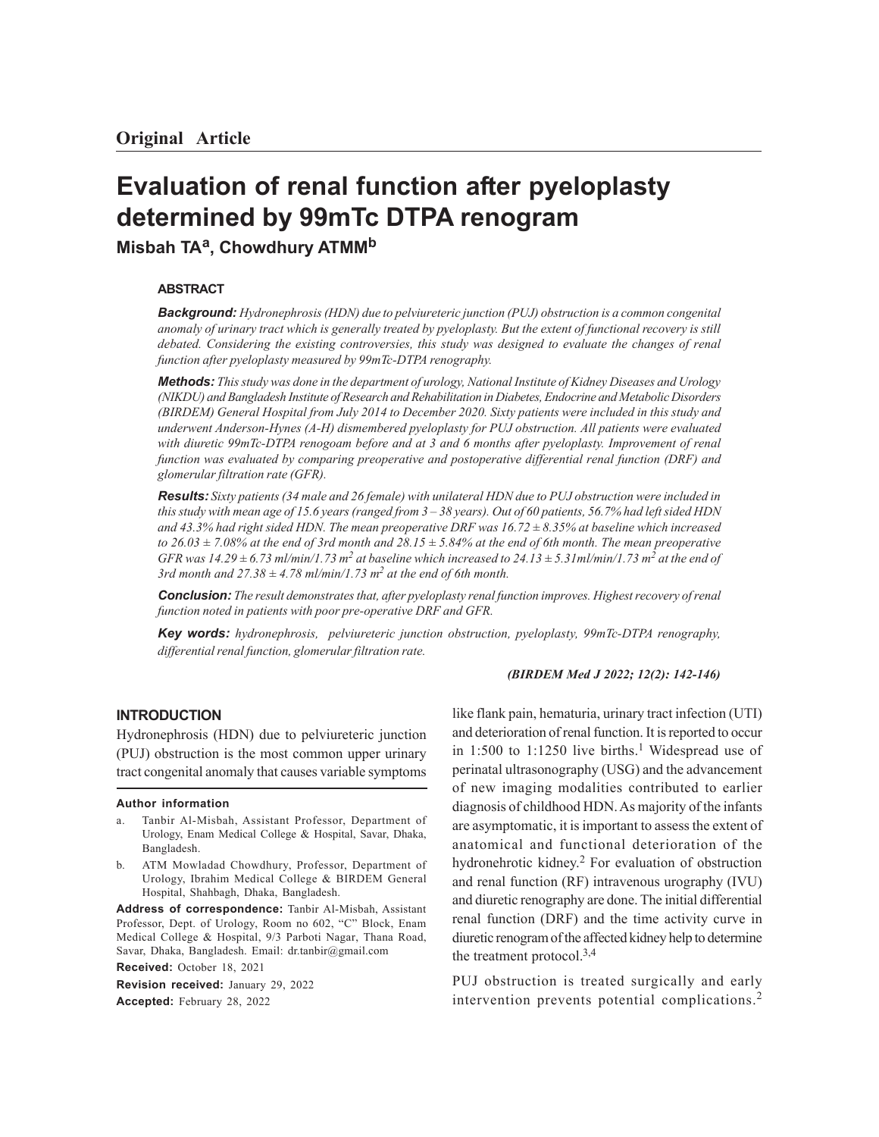# **Evaluation of renal function after pyeloplasty determined by 99mTc DTPA renogram**

**Misbah TAa, Chowdhury ATMM<sup>b</sup>**

## **ABSTRACT**

*Background: Hydronephrosis (HDN) due to pelviureteric junction (PUJ) obstruction is a common congenital anomaly of urinary tract which is generally treated by pyeloplasty. But the extent of functional recovery is still debated. Considering the existing controversies, this study was designed to evaluate the changes of renal function after pyeloplasty measured by 99mTc-DTPA renography.*

*Methods: This study was done in the department of urology, National Institute of Kidney Diseases and Urology (NIKDU) and Bangladesh Institute of Research and Rehabilitation in Diabetes, Endocrine and Metabolic Disorders (BIRDEM) General Hospital from July 2014 to December 2020. Sixty patients were included in this study and underwent Anderson-Hynes (A-H) dismembered pyeloplasty for PUJ obstruction. All patients were evaluated with diuretic 99mTc-DTPA renogoam before and at 3 and 6 months after pyeloplasty. Improvement of renal function was evaluated by comparing preoperative and postoperative differential renal function (DRF) and glomerular filtration rate (GFR).*

*Results: Sixty patients (34 male and 26 female) with unilateral HDN due to PUJ obstruction were included in this study with mean age of 15.6 years (ranged from 3 – 38 years). Out of 60 patients, 56.7% had left sided HDN and 43.3% had right sided HDN. The mean preoperative DRF was 16.72 ± 8.35% at baseline which increased to 26.03 ± 7.08% at the end of 3rd month and 28.15 ± 5.84% at the end of 6th month. The mean preoperative* GFR was  $14.29 \pm 6.73$  ml/min/1.73 m<sup>2</sup> at baseline which increased to  $24.13 \pm 5.31$  ml/min/1.73 m<sup>2</sup> at the end of *3rd month and 27.38*  $\pm$  4.78 ml/min/1.73 m<sup>2</sup> at the end of 6th month.

*Conclusion: The result demonstrates that, after pyeloplasty renal function improves. Highest recovery of renal function noted in patients with poor pre-operative DRF and GFR.*

*Key words: hydronephrosis, pelviureteric junction obstruction, pyeloplasty, 99mTc-DTPA renography, differential renal function, glomerular filtration rate.*

### *(BIRDEM Med J 2022; 12(2): 142-146)*

## **INTRODUCTION**

Hydronephrosis (HDN) due to pelviureteric junction (PUJ) obstruction is the most common upper urinary tract congenital anomaly that causes variable symptoms

## **Author information**

- Tanbir Al-Misbah, Assistant Professor, Department of Urology, Enam Medical College & Hospital, Savar, Dhaka, Bangladesh.
- b. ATM Mowladad Chowdhury, Professor, Department of Urology, Ibrahim Medical College & BIRDEM General Hospital, Shahbagh, Dhaka, Bangladesh.

**Address of correspondence:** Tanbir Al-Misbah, Assistant Professor, Dept. of Urology, Room no 602, "C" Block, Enam Medical College & Hospital, 9/3 Parboti Nagar, Thana Road, Savar, Dhaka, Bangladesh. Email: dr.tanbir@gmail.com **Received:** October 18, 2021

**Revision received:** January 29, 2022 **Accepted:** February 28, 2022

like flank pain, hematuria, urinary tract infection (UTI) and deterioration of renal function. It is reported to occur in 1:500 to 1:1250 live births.<sup>1</sup> Widespread use of perinatal ultrasonography (USG) and the advancement of new imaging modalities contributed to earlier diagnosis of childhood HDN. As majority of the infants are asymptomatic, it is important to assess the extent of anatomical and functional deterioration of the hydronehrotic kidney. 2 For evaluation of obstruction and renal function (RF) intravenous urography (IVU) and diuretic renography are done. The initial differential renal function (DRF) and the time activity curve in diuretic renogram of the affected kidney help to determine the treatment protocol.3,4

PUJ obstruction is treated surgically and early intervention prevents potential complications.<sup>2</sup>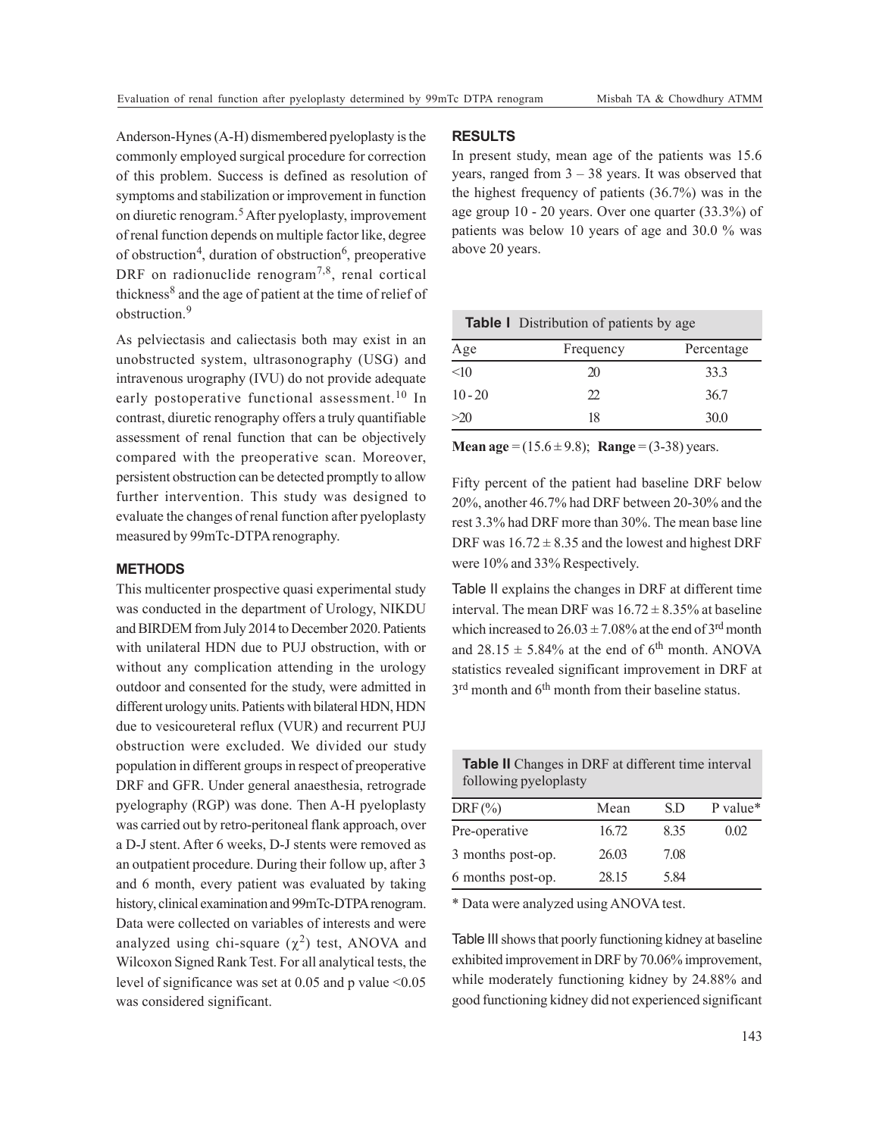Anderson-Hynes (A-H) dismembered pyeloplasty is the commonly employed surgical procedure for correction of this problem. Success is defined as resolution of symptoms and stabilization or improvement in function on diuretic renogram.5 After pyeloplasty, improvement of renal function depends on multiple factor like, degree of obstruction<sup>4</sup>, duration of obstruction<sup>6</sup>, preoperative DRF on radionuclide renogram<sup>7,8</sup>, renal cortical thickness<sup>8</sup> and the age of patient at the time of relief of obstruction.<sup>9</sup>

As pelviectasis and caliectasis both may exist in an unobstructed system, ultrasonography (USG) and intravenous urography (IVU) do not provide adequate early postoperative functional assessment.<sup>10</sup> In contrast, diuretic renography offers a truly quantifiable assessment of renal function that can be objectively compared with the preoperative scan. Moreover, persistent obstruction can be detected promptly to allow further intervention. This study was designed to evaluate the changes of renal function after pyeloplasty measured by 99mTc-DTPA renography.

# **METHODS**

This multicenter prospective quasi experimental study was conducted in the department of Urology, NIKDU and BIRDEM from July 2014 to December 2020. Patients with unilateral HDN due to PUJ obstruction, with or without any complication attending in the urology outdoor and consented for the study, were admitted in different urology units. Patients with bilateral HDN, HDN due to vesicoureteral reflux (VUR) and recurrent PUJ obstruction were excluded. We divided our study population in different groups in respect of preoperative DRF and GFR. Under general anaesthesia, retrograde pyelography (RGP) was done. Then A-H pyeloplasty was carried out by retro-peritoneal flank approach, over a D-J stent. After 6 weeks, D-J stents were removed as an outpatient procedure. During their follow up, after 3 and 6 month, every patient was evaluated by taking history, clinical examination and 99mTc-DTPA renogram. Data were collected on variables of interests and were analyzed using chi-square  $(\chi^2)$  test, ANOVA and Wilcoxon Signed Rank Test. For all analytical tests, the level of significance was set at  $0.05$  and p value  $\leq 0.05$ was considered significant.

# **RESULTS**

In present study, mean age of the patients was 15.6 years, ranged from 3 – 38 years. It was observed that the highest frequency of patients (36.7%) was in the age group 10 - 20 years. Over one quarter (33.3%) of patients was below 10 years of age and 30.0 % was above 20 years.

| <b>Table I</b> Distribution of patients by age |                       |            |  |
|------------------------------------------------|-----------------------|------------|--|
| Age                                            | Frequency             | Percentage |  |
| <10                                            | 20                    | 33.3       |  |
| $10 - 20$                                      | $\mathcal{D}_{\cdot}$ | 36.7       |  |
| >20                                            | 18                    | 30.0       |  |

**Mean age** =  $(15.6 \pm 9.8)$ ; **Range** =  $(3-38)$  years.

Fifty percent of the patient had baseline DRF below 20%, another 46.7% had DRF between 20-30% and the rest 3.3% had DRF more than 30%. The mean base line DRF was  $16.72 \pm 8.35$  and the lowest and highest DRF were 10% and 33% Respectively.

Table II explains the changes in DRF at different time interval. The mean DRF was  $16.72 \pm 8.35\%$  at baseline which increased to  $26.03 \pm 7.08\%$  at the end of 3<sup>rd</sup> month and  $28.15 \pm 5.84\%$  at the end of 6<sup>th</sup> month. ANOVA statistics revealed significant improvement in DRF at 3<sup>rd</sup> month and 6<sup>th</sup> month from their baseline status.

**Table II** Changes in DRF at different time interval following pyeloplasty

| $DRF(\% )$        | Mean  | S.D  | P value* |
|-------------------|-------|------|----------|
| Pre-operative     | 16.72 | 8.35 | 0.02     |
| 3 months post-op. | 26.03 | 7.08 |          |
| 6 months post-op. | 28.15 | 5.84 |          |

\* Data were analyzed using ANOVA test.

Table III shows that poorly functioning kidney at baseline exhibited improvement in DRF by 70.06% improvement, while moderately functioning kidney by 24.88% and good functioning kidney did not experienced significant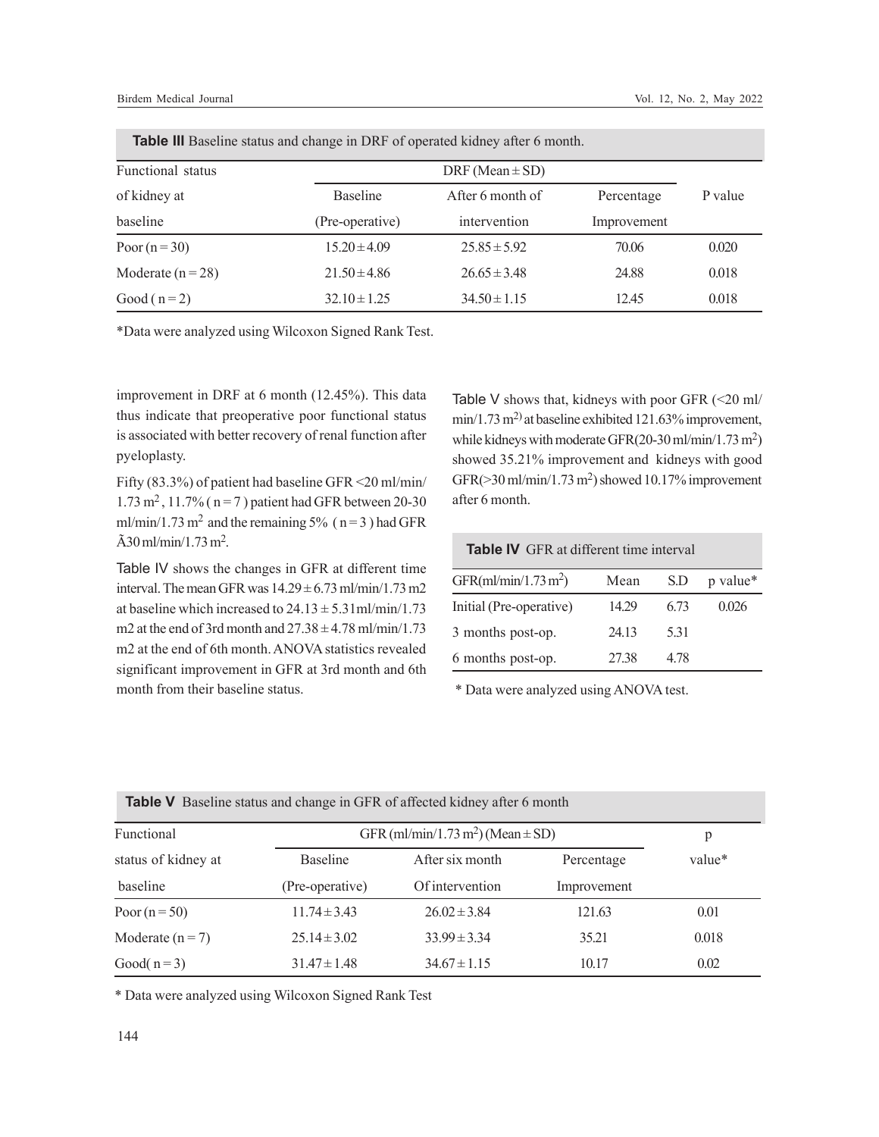| <b>Table III</b> Baseline status and change in DRF of operated kidney after 6 month. |                     |                  |             |         |
|--------------------------------------------------------------------------------------|---------------------|------------------|-------------|---------|
| Functional status                                                                    | DRF (Mean $\pm$ SD) |                  |             |         |
| of kidney at                                                                         | <b>Baseline</b>     | After 6 month of | Percentage  | P value |
| baseline                                                                             | (Pre-operative)     | intervention     | Improvement |         |
| Poor $(n=30)$                                                                        | $15.20 \pm 4.09$    | $25.85 \pm 5.92$ | 70.06       | 0.020   |
| Moderate $(n=28)$                                                                    | $21.50 \pm 4.86$    | $26.65 \pm 3.48$ | 24.88       | 0.018   |
| Good $(n=2)$                                                                         | $32.10 \pm 1.25$    | $34.50 \pm 1.15$ | 12.45       | 0.018   |

\*Data were analyzed using Wilcoxon Signed Rank Test.

improvement in DRF at 6 month (12.45%). This data thus indicate that preoperative poor functional status is associated with better recovery of renal function after pyeloplasty.

Fifty (83.3%) of patient had baseline GFR <20 ml/min/  $1.73 \text{ m}^2$ ,  $11.7\%$  ( $n = 7$ ) patient had GFR between 20-30 ml/min/1.73 m<sup>2</sup> and the remaining 5% ( $n = 3$ ) had GFR  $\rm \tilde{A}30\,ml/min/1.73\,m^2.$ 

Table IV shows the changes in GFR at different time interval. The mean GFR was  $14.29 \pm 6.73$  ml/min/1.73 m2 at baseline which increased to  $24.13 \pm 5.31$  ml/min/1.73 m2 at the end of 3rd month and  $27.38 \pm 4.78$  ml/min/1.73 m2 at the end of 6th month. ANOVA statistics revealed significant improvement in GFR at 3rd month and 6th month from their baseline status.

Table V shows that, kidneys with poor GFR  $\left( \leq 20 \text{ ml} \right)$ min/1.73 m2) at baseline exhibited 121.63% improvement, while kidneys with moderate GFR $(20-30 \text{ ml/min}/1.73 \text{ m}^2)$ showed 35.21% improvement and kidneys with good GFR(>30 ml/min/1.73 m<sup>2</sup> ) showed 10.17% improvement after 6 month.

| <b>Table IV</b> GFR at different time interval |       |      |          |
|------------------------------------------------|-------|------|----------|
| GFR $(ml/min/1.73 m2)$                         | Mean  | S.D  | p value* |
| Initial (Pre-operative)                        | 14.29 | 6.73 | 0.026    |
| 3 months post-op.                              | 24.13 | 5.31 |          |
| 6 months post-op.                              | 27.38 | 4 78 |          |

\* Data were analyzed using ANOVA test.

| <b>Table V</b> Baseline status and change in GFR of affected kidney after 6 month |                                                   |                  |             |        |
|-----------------------------------------------------------------------------------|---------------------------------------------------|------------------|-------------|--------|
| Functional                                                                        | GFR (ml/min/1.73 m <sup>2</sup> ) (Mean $\pm$ SD) |                  |             | p      |
| status of kidney at                                                               | <b>Baseline</b>                                   | After six month  | Percentage  | value* |
| baseline                                                                          | (Pre-operative)                                   | Of intervention  | Improvement |        |
| Poor $(n=50)$                                                                     | $11.74 \pm 3.43$                                  | $26.02 \pm 3.84$ | 121.63      | 0.01   |
| Moderate $(n=7)$                                                                  | $25.14 \pm 3.02$                                  | $33.99 \pm 3.34$ | 35.21       | 0.018  |
| Good( $n=3$ )                                                                     | $31.47 \pm 1.48$                                  | $34.67 \pm 1.15$ | 10.17       | 0.02   |

\* Data were analyzed using Wilcoxon Signed Rank Test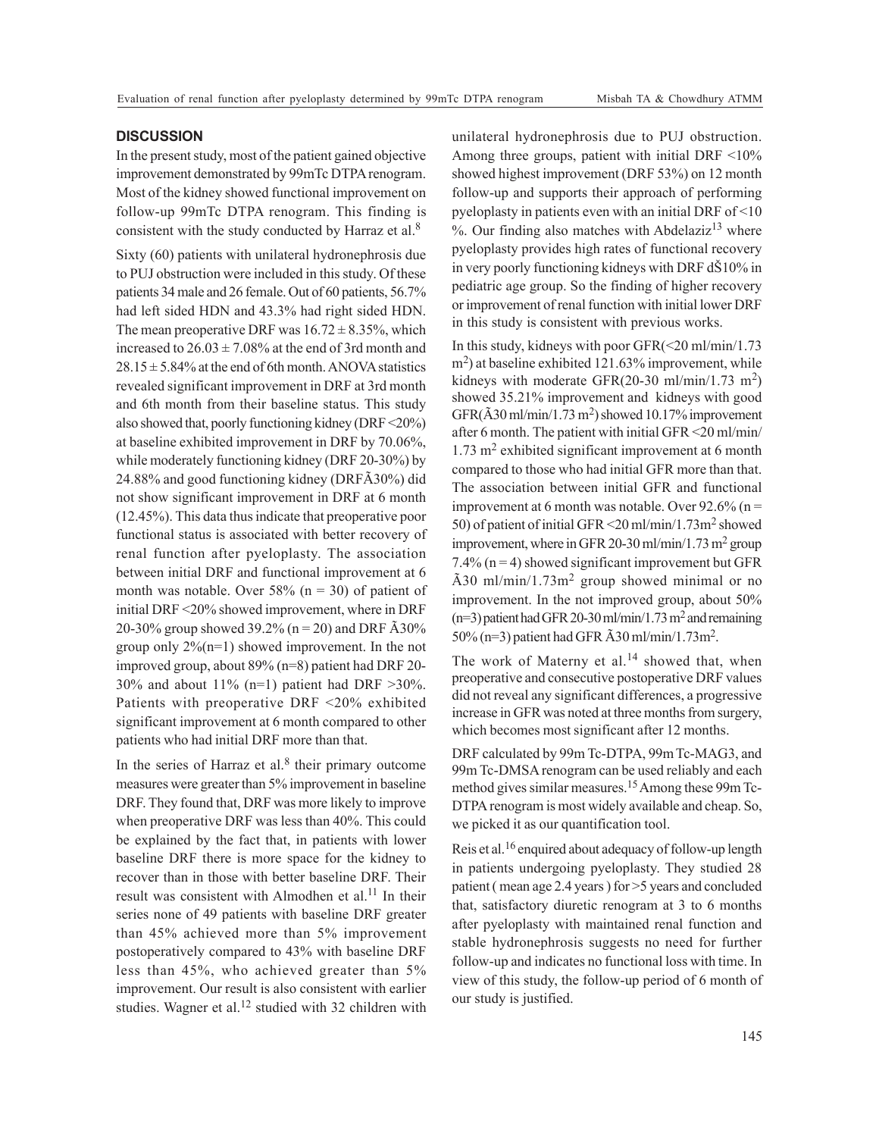## **DISCUSSION**

In the present study, most of the patient gained objective improvement demonstrated by 99mTc DTPA renogram. Most of the kidney showed functional improvement on follow-up 99mTc DTPA renogram. This finding is consistent with the study conducted by Harraz et al.<sup>8</sup>

Sixty (60) patients with unilateral hydronephrosis due to PUJ obstruction were included in this study. Of these patients 34 male and 26 female. Out of 60 patients, 56.7% had left sided HDN and 43.3% had right sided HDN. The mean preoperative DRF was  $16.72 \pm 8.35$ %, which increased to  $26.03 \pm 7.08\%$  at the end of 3rd month and  $28.15 \pm 5.84\%$  at the end of 6th month. ANOVA statistics revealed significant improvement in DRF at 3rd month and 6th month from their baseline status. This study also showed that, poorly functioning kidney (DRF <20%) at baseline exhibited improvement in DRF by 70.06%, while moderately functioning kidney (DRF 20-30%) by 24.88% and good functioning kidney (DRFÃ30%) did not show significant improvement in DRF at 6 month (12.45%). This data thus indicate that preoperative poor functional status is associated with better recovery of renal function after pyeloplasty. The association between initial DRF and functional improvement at 6 month was notable. Over 58% ( $n = 30$ ) of patient of initial DRF <20% showed improvement, where in DRF 20-30% group showed 39.2% ( $n = 20$ ) and DRF  $\tilde{A}30\%$ group only 2%(n=1) showed improvement. In the not improved group, about 89% (n=8) patient had DRF 20- 30% and about 11% (n=1) patient had DRF  $>30\%$ . Patients with preoperative DRF <20% exhibited significant improvement at 6 month compared to other patients who had initial DRF more than that.

In the series of Harraz et al. $8$  their primary outcome measures were greater than 5% improvement in baseline DRF. They found that, DRF was more likely to improve when preoperative DRF was less than 40%. This could be explained by the fact that, in patients with lower baseline DRF there is more space for the kidney to recover than in those with better baseline DRF. Their result was consistent with Almodhen et al.<sup>11</sup> In their series none of 49 patients with baseline DRF greater than 45% achieved more than 5% improvement postoperatively compared to 43% with baseline DRF less than 45%, who achieved greater than 5% improvement. Our result is also consistent with earlier studies. Wagner et al.<sup>12</sup> studied with 32 children with unilateral hydronephrosis due to PUJ obstruction. Among three groups, patient with initial DRF <10% showed highest improvement (DRF 53%) on 12 month follow-up and supports their approach of performing pyeloplasty in patients even with an initial DRF of <10 %. Our finding also matches with Abdelaziz<sup>13</sup> where pyeloplasty provides high rates of functional recovery in very poorly functioning kidneys with DRF dŠ10% in pediatric age group. So the finding of higher recovery or improvement of renal function with initial lower DRF in this study is consistent with previous works.

In this study, kidneys with poor GFR(<20 ml/min/1.73 m<sup>2</sup> ) at baseline exhibited 121.63% improvement, while kidneys with moderate GFR(20-30 ml/min/1.73 m<sup>2</sup>) showed 35.21% improvement and kidneys with good  $GFR(\tilde{A}30 \text{ ml/min}/1.73 \text{ m}^2)$  showed 10.17% improvement after 6 month. The patient with initial GFR <20 ml/min/ 1.73 m<sup>2</sup> exhibited significant improvement at 6 month compared to those who had initial GFR more than that. The association between initial GFR and functional improvement at 6 month was notable. Over  $92.6\%$  (n = 50) of patient of initial GFR <20 ml/min/1.73m<sup>2</sup> showed improvement, where in GFR 20-30 ml/min/1.73 m<sup>2</sup> group 7.4% ( $n = 4$ ) showed significant improvement but GFR Ã30 ml/min/1.73m<sup>2</sup> group showed minimal or no improvement. In the not improved group, about 50%  $(n=3)$  patient had GFR 20-30 ml/min/1.73 m<sup>2</sup> and remaining 50% (n=3) patient had GFR  $\tilde{A}$ 30 ml/min/1.73m<sup>2</sup>.

The work of Materny et al.<sup>14</sup> showed that, when preoperative and consecutive postoperative DRF values did not reveal any significant differences, a progressive increase in GFR was noted at three months from surgery, which becomes most significant after 12 months.

DRF calculated by 99m Tc-DTPA, 99m Tc-MAG3, and 99m Tc-DMSA renogram can be used reliably and each method gives similar measures.<sup>15</sup> Among these 99m Tc-DTPA renogram is most widely available and cheap. So, we picked it as our quantification tool.

Reis et al.<sup>16</sup> enquired about adequacy of follow-up length in patients undergoing pyeloplasty. They studied 28 patient ( mean age 2.4 years ) for >5 years and concluded that, satisfactory diuretic renogram at 3 to 6 months after pyeloplasty with maintained renal function and stable hydronephrosis suggests no need for further follow-up and indicates no functional loss with time. In view of this study, the follow-up period of 6 month of our study is justified.